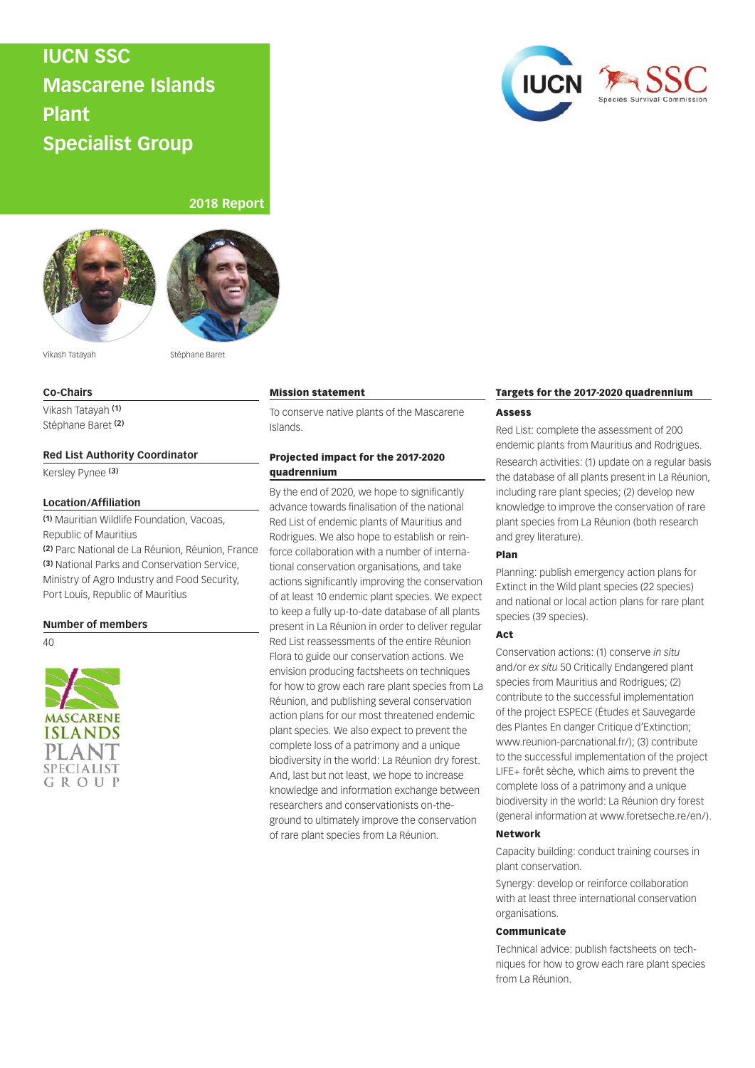# **IUCN SSC Mascarene Islands Plant Specialist Group**



## **2018 Report**





Vikash Tatayah Stéphane Baret

## **Co-Chairs**

Vikash Tatayah **(1)** Stéphane Baret **(2)**

#### **Red List Authority Coordinator**

Kersley Pynee **(3)**

#### **Location/Affiliation**

**(1)** Mauritian Wildlife Foundation, Vacoas, Republic of Mauritius

**(2)** Parc National de La Réunion, Réunion, France **(3)** National Parks and Conservation Service, Ministry of Agro Industry and Food Security, Port Louis, Republic of Mauritius

## **Number of members**

40



#### Mission statement

To conserve native plants of the Mascarene Islands.

## Projected impact for the 2017-2020 quadrennium

By the end of 2020, we hope to significantly advance towards finalisation of the national Red List of endemic plants of Mauritius and Rodrigues. We also hope to establish or reinforce collaboration with a number of international conservation organisations, and take actions significantly improving the conservation of at least 10 endemic plant species. We expect to keep a fully up-to-date database of all plants present in La Réunion in order to deliver regular Red List reassessments of the entire Réunion Flora to guide our conservation actions. We envision producing factsheets on techniques for how to grow each rare plant species from La Réunion, and publishing several conservation action plans for our most threatened endemic plant species. We also expect to prevent the complete loss of a patrimony and a unique biodiversity in the world: La Réunion dry forest. And, last but not least, we hope to increase knowledge and information exchange between researchers and conservationists on-theground to ultimately improve the conservation of rare plant species from La Réunion.

#### Targets for the 2017-2020 quadrennium

### Assess

Red List: complete the assessment of 200 endemic plants from Mauritius and Rodrigues. Research activities: (1) update on a regular basis the database of all plants present in La Réunion, including rare plant species; (2) develop new knowledge to improve the conservation of rare plant species from La Réunion (both research and grey literature).

#### Plan

Planning: publish emergency action plans for Extinct in the Wild plant species (22 species) and national or local action plans for rare plant species (39 species).

#### Act

Conservation actions: (1) conserve *in situ* and/or *ex situ* 50 Critically Endangered plant species from Mauritius and Rodrigues; (2) contribute to the successful implementation of the project ESPECE (Études et Sauvegarde des Plantes En danger Critique d'Extinction; www.reunion-parcnational.fr/); (3) contribute to the successful implementation of the project LIFE+ forêt sèche, which aims to prevent the complete loss of a patrimony and a unique biodiversity in the world: La Réunion dry forest (general information at www.foretseche.re/en/).

#### Network

Capacity building: conduct training courses in plant conservation.

Synergy: develop or reinforce collaboration with at least three international conservation organisations.

#### Communicate

Technical advice: publish factsheets on techniques for how to grow each rare plant species from La Réunion.